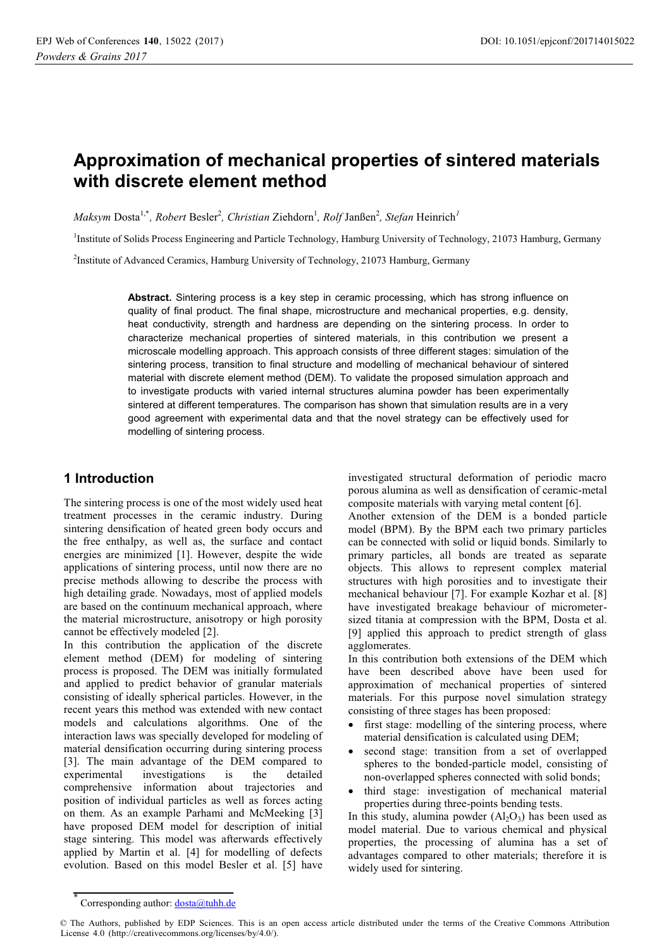# **Approximation of mechanical properties of sintered materials with discrete element method**

 $M$ aksym Dosta<sup>1,\*</sup>, Robert Besler<sup>2</sup>, Christian Ziehdorn<sup>1</sup>, Rolf Janßen<sup>2</sup>, Stefan Heinrich<sup>1</sup>

<sup>1</sup>Institute of Solids Process Engineering and Particle Technology, Hamburg University of Technology, 21073 Hamburg, Germany

<sup>2</sup>Institute of Advanced Ceramics, Hamburg University of Technology, 21073 Hamburg, Germany

**Abstract.** Sintering process is a key step in ceramic processing, which has strong influence on quality of final product. The final shape, microstructure and mechanical properties, e.g. density, heat conductivity, strength and hardness are depending on the sintering process. In order to characterize mechanical properties of sintered materials, in this contribution we present a microscale modelling approach. This approach consists of three different stages: simulation of the sintering process, transition to final structure and modelling of mechanical behaviour of sintered material with discrete element method (DEM). To validate the proposed simulation approach and to investigate products with varied internal structures alumina powder has been experimentally sintered at different temperatures. The comparison has shown that simulation results are in a very good agreement with experimental data and that the novel strategy can be effectively used for modelling of sintering process.

## **1 Introduction**

The sintering process is one of the most widely used heat treatment processes in the ceramic industry. During sintering densification of heated green body occurs and the free enthalpy, as well as, the surface and contact energies are minimized [1]. However, despite the wide applications of sintering process, until now there are no precise methods allowing to describe the process with high detailing grade. Nowadays, most of applied models are based on the continuum mechanical approach, where the material microstructure, anisotropy or high porosity cannot be effectively modeled [2].

In this contribution the application of the discrete element method (DEM) for modeling of sintering process is proposed. The DEM was initially formulated and applied to predict behavior of granular materials consisting of ideally spherical particles. However, in the recent years this method was extended with new contact models and calculations algorithms. One of the interaction laws was specially developed for modeling of material densification occurring during sintering process [3]. The main advantage of the DEM compared to experimental investigations is the detailed comprehensive information about trajectories and position of individual particles as well as forces acting on them. As an example Parhami and McMeeking [3] have proposed DEM model for description of initial stage sintering. This model was afterwards effectively applied by Martin et al. [4] for modelling of defects evolution. Based on this model Besler et al. [5] have

investigated structural deformation of periodic macro porous alumina as well as densification of ceramic-metal composite materials with varying metal content [6].

Another extension of the DEM is a bonded particle model (BPM). By the BPM each two primary particles can be connected with solid or liquid bonds. Similarly to primary particles, all bonds are treated as separate objects. This allows to represent complex material structures with high porosities and to investigate their mechanical behaviour [7]. For example Kozhar et al. [8] have investigated breakage behaviour of micrometersized titania at compression with the BPM, Dosta et al. [9] applied this approach to predict strength of glass agglomerates.

In this contribution both extensions of the DEM which have been described above have been used for approximation of mechanical properties of sintered materials. For this purpose novel simulation strategy consisting of three stages has been proposed:

- first stage: modelling of the sintering process, where material densification is calculated using DEM;
- second stage: transition from a set of overlapped spheres to the bonded-particle model, consisting of non-overlapped spheres connected with solid bonds;
- third stage: investigation of mechanical material properties during three-points bending tests.

In this study, alumina powder  $(Al<sub>2</sub>O<sub>3</sub>)$  has been used as model material. Due to various chemical and physical properties, the processing of alumina has a set of advantages compared to other materials; therefore it is widely used for sintering.

<sup>\*</sup> Corresponding author: dosta@tuhh.de

<sup>©</sup> The Authors, published by EDP Sciences. This is an open access article distributed under the terms of the Creative Commons Attribution License 4.0 (http://creativecommons.org/licenses/by/4.0/).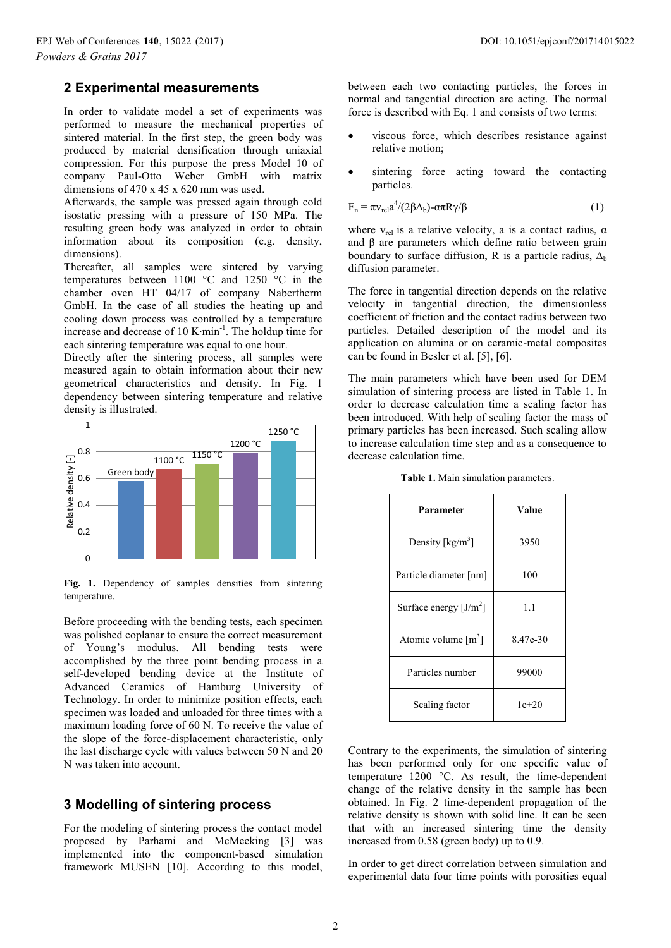#### **2 Experimental measurements**

In order to validate model a set of experiments was performed to measure the mechanical properties of sintered material. In the first step, the green body was produced by material densification through uniaxial compression. For this purpose the press Model 10 of company Paul-Otto Weber GmbH with matrix dimensions of 470 x 45 x 620 mm was used.

Afterwards, the sample was pressed again through cold isostatic pressing with a pressure of 150 MPa. The resulting green body was analyzed in order to obtain information about its composition (e.g. density, dimensions).

Thereafter, all samples were sintered by varying temperatures between 1100 °C and 1250 °C in the chamber oven HT 04/17 of company Nabertherm GmbH. In the case of all studies the heating up and cooling down process was controlled by a temperature increase and decrease of 10 K∙min-1. The holdup time for each sintering temperature was equal to one hour.

Directly after the sintering process, all samples were measured again to obtain information about their new geometrical characteristics and density. In Fig. 1 dependency between sintering temperature and relative density is illustrated.



Fig. 1. Dependency of samples densities from sintering temperature.

Before proceeding with the bending tests, each specimen was polished coplanar to ensure the correct measurement of Young's modulus. All bending tests were accomplished by the three point bending process in a self-developed bending device at the Institute of Advanced Ceramics of Hamburg University of Technology. In order to minimize position effects, each specimen was loaded and unloaded for three times with a maximum loading force of 60 N. To receive the value of the slope of the force-displacement characteristic, only the last discharge cycle with values between 50 N and 20 N was taken into account.

#### **3 Modelling of sintering process**

For the modeling of sintering process the contact model proposed by Parhami and McMeeking [3] was implemented into the component-based simulation framework MUSEN [10]. According to this model,

between each two contacting particles, the forces in normal and tangential direction are acting. The normal force is described with Eq. 1 and consists of two terms:

- viscous force, which describes resistance against relative motion;
- sintering force acting toward the contacting particles.

$$
F_n = \pi v_{rel} a^4 / (2\beta \Delta_b) - \alpha \pi R \gamma / \beta \tag{1}
$$

where  $v_{rel}$  is a relative velocity, a is a contact radius,  $\alpha$ and β are parameters which define ratio between grain boundary to surface diffusion, R is a particle radius,  $\Delta_b$ diffusion parameter.

The force in tangential direction depends on the relative velocity in tangential direction, the dimensionless coefficient of friction and the contact radius between two particles. Detailed description of the model and its application on alumina or on ceramic-metal composites can be found in Besler et al. [5], [6].

The main parameters which have been used for DEM simulation of sintering process are listed in Table 1. In order to decrease calculation time a scaling factor has been introduced. With help of scaling factor the mass of primary particles has been increased. Such scaling allow to increase calculation time step and as a consequence to decrease calculation time.

| Parameter                             | Value    |  |
|---------------------------------------|----------|--|
| Density $\left[\frac{kg}{m^3}\right]$ | 3950     |  |
| Particle diameter [nm]                | 100      |  |
| Surface energy $[J/m^2]$              | 1.1      |  |
| Atomic volume $\lceil m^3 \rceil$     | 8.47e-30 |  |
| Particles number                      | 99000    |  |
| Scaling factor                        | $1e+20$  |  |

**Table 1.** Main simulation parameters.

Contrary to the experiments, the simulation of sintering has been performed only for one specific value of temperature 1200 °C. As result, the time-dependent change of the relative density in the sample has been obtained. In Fig. 2 time-dependent propagation of the relative density is shown with solid line. It can be seen that with an increased sintering time the density increased from 0.58 (green body) up to 0.9.

In order to get direct correlation between simulation and experimental data four time points with porosities equal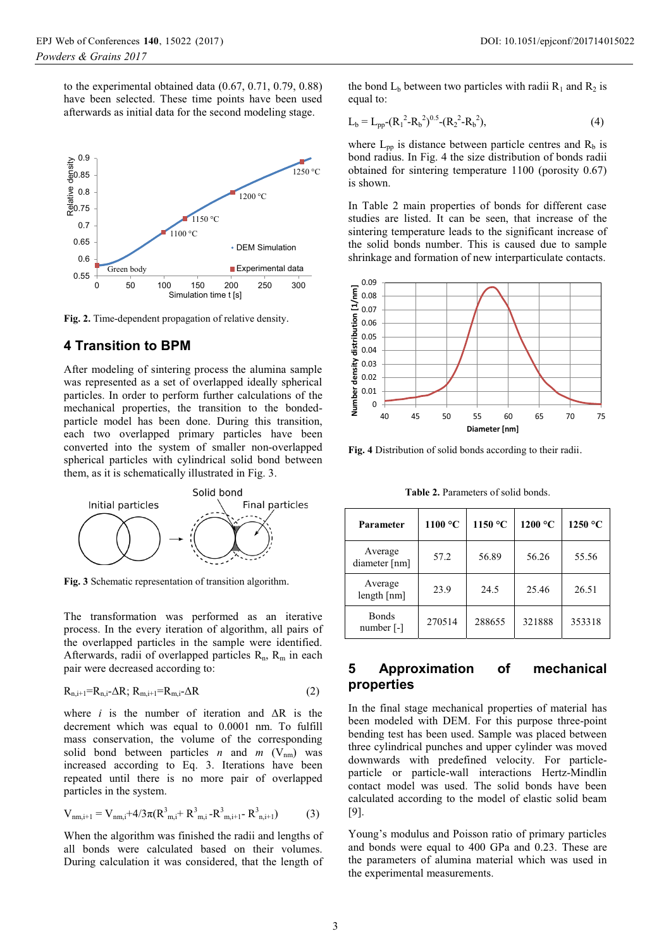to the experimental obtained data (0.67, 0.71, 0.79, 0.88) have been selected. These time points have been used afterwards as initial data for the second modeling stage.



**Fig. 2.** Time-dependent propagation of relative density.

### **4 Transition to BPM**

After modeling of sintering process the alumina sample was represented as a set of overlapped ideally spherical particles. In order to perform further calculations of the mechanical properties, the transition to the bondedparticle model has been done. During this transition, each two overlapped primary particles have been converted into the system of smaller non-overlapped spherical particles with cylindrical solid bond between them, as it is schematically illustrated in Fig. 3.



**Fig. 3** Schematic representation of transition algorithm.

The transformation was performed as an iterative process. In the every iteration of algorithm, all pairs of the overlapped particles in the sample were identified. Afterwards, radii of overlapped particles  $R_n$ ,  $R_m$  in each pair were decreased according to:

$$
R_{n,i+1} = R_{n,i} - \Delta R; R_{m,i+1} = R_{m,i} - \Delta R
$$
 (2)

where *i* is the number of iteration and  $\Delta R$  is the decrement which was equal to 0.0001 nm. To fulfill mass conservation, the volume of the corresponding solid bond between particles *n* and *m* ( $V_{nm}$ ) was increased according to Eq. 3. Iterations have been repeated until there is no more pair of overlapped particles in the system.

$$
V_{nm,i+1} = V_{nm,i} + 4/3\pi (R_{m,i}^3 + R_{m,i}^3 - R_{m,i+1}^3 - R_{n,i+1}^3)
$$
 (3)

When the algorithm was finished the radii and lengths of all bonds were calculated based on their volumes. During calculation it was considered, that the length of

the bond  $L_b$  between two particles with radii  $R_1$  and  $R_2$  is equal to:

$$
L_b = L_{pp} (R_1^2 - R_b^2)^{0.5} (R_2^2 - R_b^2),
$$
 (4)

where  $L_{nn}$  is distance between particle centres and  $R_b$  is bond radius. In Fig. 4 the size distribution of bonds radii obtained for sintering temperature 1100 (porosity 0.67) is shown.

In Table 2 main properties of bonds for different case studies are listed. It can be seen, that increase of the sintering temperature leads to the significant increase of the solid bonds number. This is caused due to sample shrinkage and formation of new interparticulate contacts.



**Fig. 4** Distribution of solid bonds according to their radii.

**Table 2.** Parameters of solid bonds.

| <b>Parameter</b>           | 1100 °C | 1150 °C | 1200 °C | 1250 °C |
|----------------------------|---------|---------|---------|---------|
| Average<br>diameter [nm]   | 57.2    | 56.89   | 56.26   | 55.56   |
| Average<br>length[nm]      | 23.9    | 24.5    | 25.46   | 26.51   |
| <b>Bonds</b><br>number [-] | 270514  | 288655  | 321888  | 353318  |

## **5 Approximation of mechanical properties**

In the final stage mechanical properties of material has been modeled with DEM. For this purpose three-point bending test has been used. Sample was placed between three cylindrical punches and upper cylinder was moved downwards with predefined velocity. For particleparticle or particle-wall interactions Hertz-Mindlin contact model was used. The solid bonds have been calculated according to the model of elastic solid beam [9].

Young's modulus and Poisson ratio of primary particles and bonds were equal to 400 GPa and 0.23. These are the parameters of alumina material which was used in the experimental measurements.